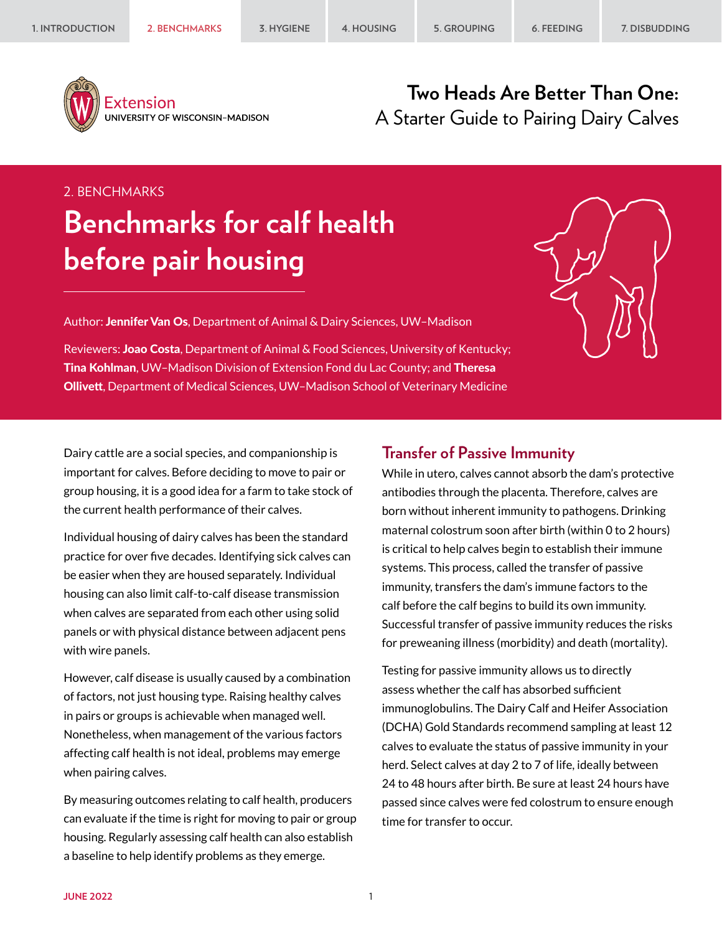

Extension UNIVERSITY OF WISCONSIN-MADISON

## **Two Heads Are Better Than One:** A Starter Guide to Pairing Dairy Calves

### 2. BENCHMARKS

# **Benchmarks for calf health before pair housing**

Author: Jennifer Van Os, Department of Animal & Dairy Sciences, UW–Madison

Reviewers: Joao Costa, Department of Animal & Food Sciences, University of Kentucky; Tina Kohlman, UW-Madison Division of Extension Fond du Lac County; and Theresa Ollivett, Department of Medical Sciences, UW–Madison School of Veterinary Medicine



Dairy cattle are a social species, and companionship is important for calves. Before deciding to move to pair or group housing, it is a good idea for a farm to take stock of the current health performance of their calves.

Individual housing of dairy calves has been the standard practice for over five decades. Identifying sick calves can be easier when they are housed separately. Individual housing can also limit calf-to-calf disease transmission when calves are separated from each other using solid panels or with physical distance between adjacent pens with wire panels.

However, calf disease is usually caused by a combination of factors, not just housing type. Raising healthy calves in pairs or groups is achievable when managed well. Nonetheless, when management of the various factors affecting calf health is not ideal, problems may emerge when pairing calves.

By measuring outcomes relating to calf health, producers can evaluate if the time is right for moving to pair or group housing. Regularly assessing calf health can also establish a baseline to help identify problems as they emerge.

### **Transfer of Passive Immunity**

While in utero, calves cannot absorb the dam's protective antibodies through the placenta. Therefore, calves are born without inherent immunity to pathogens. Drinking maternal colostrum soon after birth (within 0 to 2 hours) is critical to help calves begin to establish their immune systems. This process, called the transfer of passive immunity, transfers the dam's immune factors to the calf before the calf begins to build its own immunity. Successful transfer of passive immunity reduces the risks for preweaning illness (morbidity) and death (mortality).

Testing for passive immunity allows us to directly assess whether the calf has absorbed sufficient immunoglobulins. The Dairy Calf and Heifer Association (DCHA) Gold Standards recommend sampling at least 12 calves to evaluate the status of passive immunity in your herd. Select calves at day 2 to 7 of life, ideally between 24 to 48 hours after birth. Be sure at least 24 hours have passed since calves were fed colostrum to ensure enough time for transfer to occur.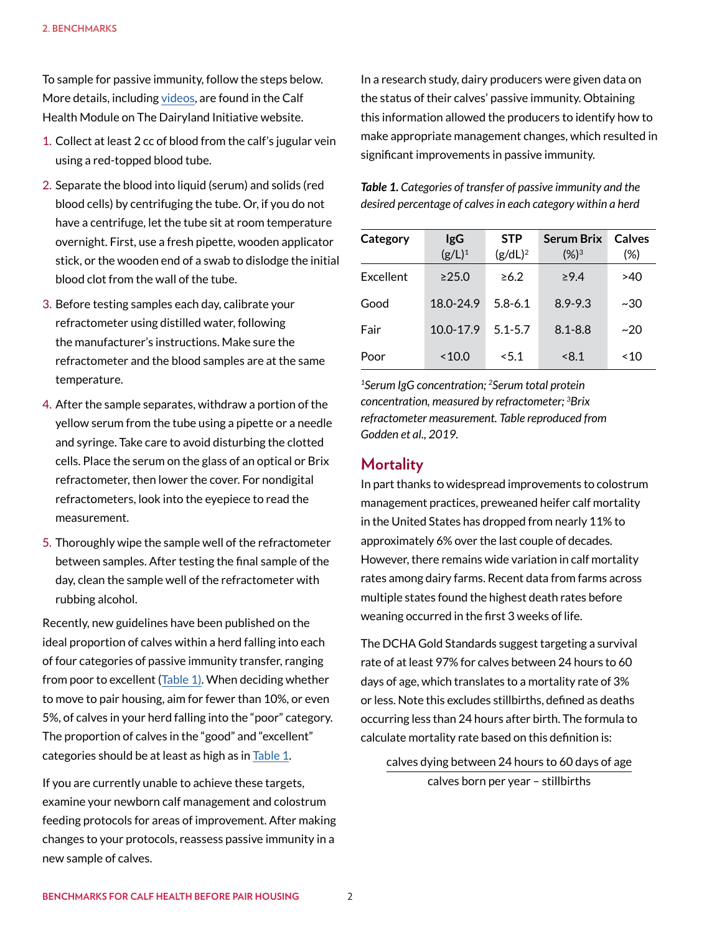To sample for passive immunity, follow the steps below. More details, including [videos](https://thedairylandinitiative.vetmed.wisc.edu/home/calf-health-module/training-videos/), are found in the Calf Health Module on The Dairyland Initiative website.

- 1. Collect at least 2 cc of blood from the calf's jugular vein using a red-topped blood tube.
- 2. Separate the blood into liquid (serum) and solids (red blood cells) by centrifuging the tube. Or, if you do not have a centrifuge, let the tube sit at room temperature overnight. First, use a fresh pipette, wooden applicator stick, or the wooden end of a swab to dislodge the initial blood clot from the wall of the tube.
- 3. Before testing samples each day, calibrate your refractometer using distilled water, following the manufacturer's instructions. Make sure the refractometer and the blood samples are at the same temperature.
- 4. After the sample separates, withdraw a portion of the yellow serum from the tube using a pipette or a needle and syringe. Take care to avoid disturbing the clotted cells. Place the serum on the glass of an optical or Brix refractometer, then lower the cover. For nondigital refractometers, look into the eyepiece to read the measurement.
- 5. Thoroughly wipe the sample well of the refractometer between samples. After testing the final sample of the day, clean the sample well of the refractometer with rubbing alcohol.

Recently, new guidelines have been published on the ideal proportion of calves within a herd falling into each of four categories of passive immunity transfer, ranging from poor to excellent [\(Table 1\)](#page-1-0). When deciding whether to move to pair housing, aim for fewer than 10%, or even 5%, of calves in your herd falling into the "poor" category. The proportion of calves in the "good" and "excellent" categories should be at least as high as in [Table 1](#page-1-0).

If you are currently unable to achieve these targets, examine your newborn calf management and colostrum feeding protocols for areas of improvement. After making changes to your protocols, reassess passive immunity in a new sample of calves.

In a research study, dairy producers were given data on the status of their calves' passive immunity. Obtaining this information allowed the producers to identify how to make appropriate management changes, which resulted in significant improvements in passive immunity.

<span id="page-1-0"></span>*Table 1. Categories of transfer of passive immunity and the desired percentage of calves in each category within a herd*

| Category  | <b>IgG</b><br>$(g/L)^1$ | <b>STP</b><br>$(g/dL)^2$ | <b>Serum Brix</b><br>$(X_0)^3$ | Calves<br>(%) |
|-----------|-------------------------|--------------------------|--------------------------------|---------------|
| Excellent | >25.0                   | $\geq 6.2$               | $\geq 9.4$                     | >40           |
|           |                         |                          |                                |               |
| Good      | 18.0-24.9               | $5.8 - 6.1$              | $8.9 - 9.3$                    | ~30           |
| Fair      | $10.0 - 17.9$           | $5.1 - 5.7$              | $8.1 - 8.8$                    | ~20           |
| Poor      | ~10.0                   | < 5.1                    | < 8.1                          | ~10           |

*1Serum IgG concentration; 2Serum total protein concentration, measured by refractometer; 3Brix refractometer measurement. Table reproduced from Godden et al., 2019.*

#### **Mortality**

In part thanks to widespread improvements to colostrum management practices, preweaned heifer calf mortality in the United States has dropped from nearly 11% to approximately 6% over the last couple of decades. However, there remains wide variation in calf mortality rates among dairy farms. Recent data from farms across multiple states found the highest death rates before weaning occurred in the first 3 weeks of life.

The DCHA Gold Standards suggest targeting a survival rate of at least 97% for calves between 24 hours to 60 days of age, which translates to a mortality rate of 3% or less. Note this excludes stillbirths, defined as deaths occurring less than 24 hours after birth. The formula to calculate mortality rate based on this definition is:

calves dying between 24 hours to 60 days of age calves born per year – stillbirths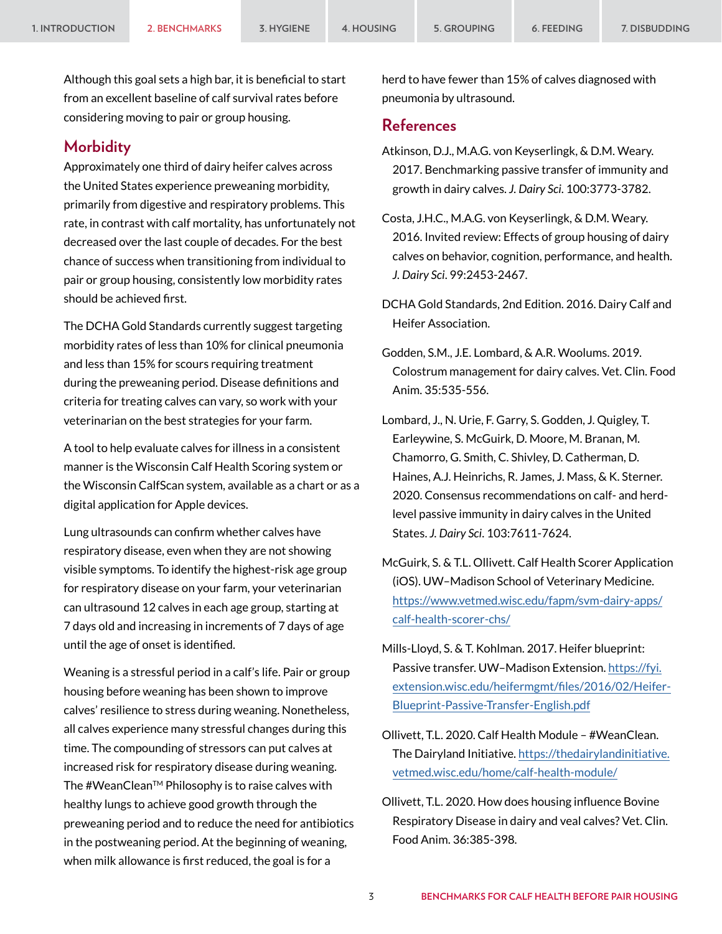Although this goal sets a high bar, it is beneficial to start from an excellent baseline of calf survival rates before considering moving to pair or group housing.

#### **Morbidity**

Approximately one third of dairy heifer calves across the United States experience preweaning morbidity, primarily from digestive and respiratory problems. This rate, in contrast with calf mortality, has unfortunately not decreased over the last couple of decades. For the best chance of success when transitioning from individual to pair or group housing, consistently low morbidity rates should be achieved first.

The DCHA Gold Standards currently suggest targeting morbidity rates of less than 10% for clinical pneumonia and less than 15% for scours requiring treatment during the preweaning period. Disease definitions and criteria for treating calves can vary, so work with your veterinarian on the best strategies for your farm.

A tool to help evaluate calves for illness in a consistent manner is the Wisconsin Calf Health Scoring system or the Wisconsin CalfScan system, available as a chart or as a digital application for Apple devices.

Lung ultrasounds can confirm whether calves have respiratory disease, even when they are not showing visible symptoms. To identify the highest-risk age group for respiratory disease on your farm, your veterinarian can ultrasound 12 calves in each age group, starting at 7 days old and increasing in increments of 7 days of age until the age of onset is identified.

Weaning is a stressful period in a calf's life. Pair or group housing before weaning has been shown to improve calves' resilience to stress during weaning. Nonetheless, all calves experience many stressful changes during this time. The compounding of stressors can put calves at increased risk for respiratory disease during weaning. The #WeanClean™ Philosophy is to raise calves with healthy lungs to achieve good growth through the preweaning period and to reduce the need for antibiotics in the postweaning period. At the beginning of weaning, when milk allowance is first reduced, the goal is for a

herd to have fewer than 15% of calves diagnosed with pneumonia by ultrasound.

### **References**

- Atkinson, D.J., M.A.G. von Keyserlingk, & D.M. Weary. 2017. Benchmarking passive transfer of immunity and growth in dairy calves. *J. Dairy Sci*. 100:3773-3782.
- Costa, J.H.C., M.A.G. von Keyserlingk, & D.M. Weary. 2016. Invited review: Effects of group housing of dairy calves on behavior, cognition, performance, and health. *J. Dairy Sci*. 99:2453-2467.
- DCHA Gold Standards, 2nd Edition. 2016. Dairy Calf and Heifer Association.
- Godden, S.M., J.E. Lombard, & A.R. Woolums. 2019. Colostrum management for dairy calves. Vet. Clin. Food Anim. 35:535-556.
- Lombard, J., N. Urie, F. Garry, S. Godden, J. Quigley, T. Earleywine, S. McGuirk, D. Moore, M. Branan, M. Chamorro, G. Smith, C. Shivley, D. Catherman, D. Haines, A.J. Heinrichs, R. James, J. Mass, & K. Sterner. 2020. Consensus recommendations on calf- and herdlevel passive immunity in dairy calves in the United States. *J. Dairy Sci*. 103:7611-7624.
- McGuirk, S. & T.L. Ollivett. Calf Health Scorer Application (iOS). UW–Madison School of Veterinary Medicine. [https://www.vetmed.wisc.edu/fapm/svm-dairy-apps/](https://www.vetmed.wisc.edu/fapm/svm-dairy-apps/calf-health-scorer-chs/) [calf-health-scorer-chs/](https://www.vetmed.wisc.edu/fapm/svm-dairy-apps/calf-health-scorer-chs/)
- Mills-Lloyd, S. & T. Kohlman. 2017. Heifer blueprint: Passive transfer. UW–Madison Extension. [https://fyi.](https://fyi.extension.wisc.edu/heifermgmt/files/2016/02/Heifer-Blueprint-Passive-Transfer-English.pdf) [extension.wisc.edu/heifermgmt/files/2016/02/Heifer-](https://fyi.extension.wisc.edu/heifermgmt/files/2016/02/Heifer-Blueprint-Passive-Transfer-English.pdf)[Blueprint-Passive-Transfer-English.pdf](https://fyi.extension.wisc.edu/heifermgmt/files/2016/02/Heifer-Blueprint-Passive-Transfer-English.pdf)
- Ollivett, T.L. 2020. Calf Health Module #WeanClean. The Dairyland Initiative. [https://thedairylandinitiative.](https://thedairylandinitiative.vetmed.wisc.edu/home/calf-health-module/) [vetmed.wisc.edu/home/calf-health-module/](https://thedairylandinitiative.vetmed.wisc.edu/home/calf-health-module/)
- Ollivett, T.L. 2020. How does housing influence Bovine Respiratory Disease in dairy and veal calves? Vet. Clin. Food Anim. 36:385-398.